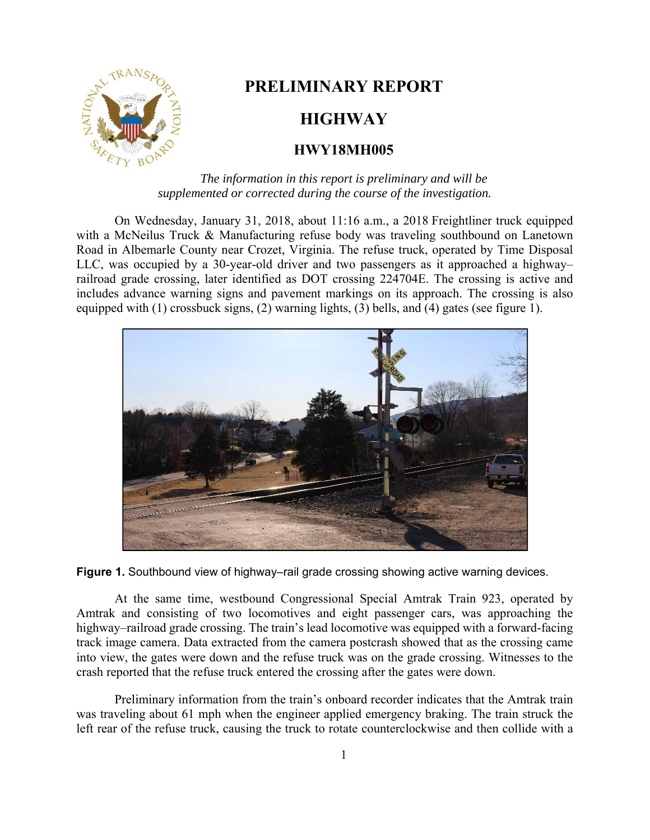

## **PRELIMINARY REPORT**

## **HIGHWAY**

## **HWY18MH005**

*The information in this report is preliminary and will be supplemented or corrected during the course of the investigation.* 

On Wednesday, January 31, 2018, about 11:16 a.m., a 2018 Freightliner truck equipped with a McNeilus Truck & Manufacturing refuse body was traveling southbound on Lanetown Road in Albemarle County near Crozet, Virginia. The refuse truck, operated by Time Disposal LLC, was occupied by a 30-year-old driver and two passengers as it approached a highway– railroad grade crossing, later identified as DOT crossing 224704E. The crossing is active and includes advance warning signs and pavement markings on its approach. The crossing is also equipped with (1) crossbuck signs, (2) warning lights, (3) bells, and (4) gates (see figure 1).



**Figure 1.** Southbound view of highway–rail grade crossing showing active warning devices.

 into view, the gates were down and the refuse truck was on the grade crossing. Witnesses to the At the same time, westbound Congressional Special Amtrak Train 923, operated by Amtrak and consisting of two locomotives and eight passenger cars, was approaching the highway–railroad grade crossing. The train's lead locomotive was equipped with a forward-facing track image camera. Data extracted from the camera postcrash showed that as the crossing came crash reported that the refuse truck entered the crossing after the gates were down.

Preliminary information from the train's onboard recorder indicates that the Amtrak train was traveling about 61 mph when the engineer applied emergency braking. The train struck the left rear of the refuse truck, causing the truck to rotate counterclockwise and then collide with a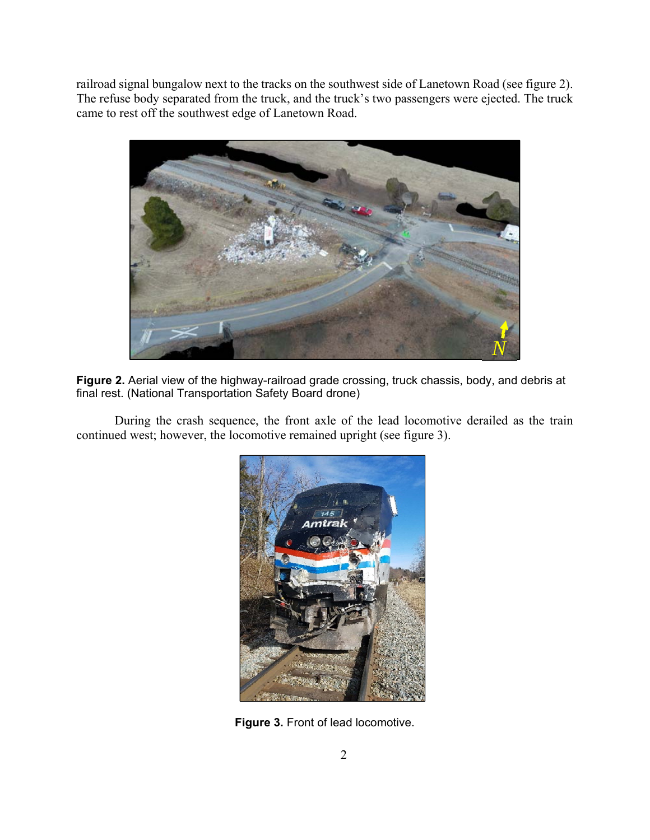railroad signal bungalow next to the tracks on the southwest side of Lanetown Road (see figure 2). The refuse body separated from the truck, and the truck's two passengers were ejected. The truck came to rest off the southwest edge of Lanetown Road.



**Figure 2.** Aerial view of the highway-railroad grade crossing, truck chassis, body, and debris at final rest. (National Transportation Safety Board drone)

During the crash sequence, the front axle of the lead locomotive derailed as the train continued west; however, the locomotive remained upright (see figure 3).



**Figure 3.** Front of lead locomotive.